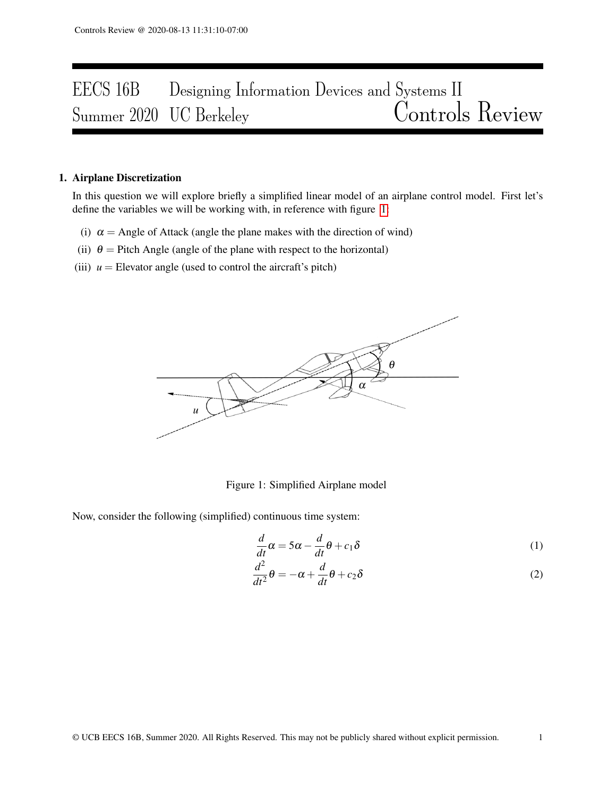# EECS 16B Designing Information Devices and Systems II<br>Summer 2020 UC Berkeley Controls Review Summer 2020 UC Berkeley

### 1. Airplane Discretization

In this question we will explore briefly a simplified linear model of an airplane control model. First let's define the variables we will be working with, in reference with figure [1:](#page-0-0)

- (i)  $\alpha$  = Angle of Attack (angle the plane makes with the direction of wind)
- (ii)  $\theta$  = Pitch Angle (angle of the plane with respect to the horizontal)
- <span id="page-0-0"></span>(iii)  $u =$  Elevator angle (used to control the aircraft's pitch)



Figure 1: Simplified Airplane model

Now, consider the following (simplified) continuous time system:

$$
\frac{d}{dt}\alpha = 5\alpha - \frac{d}{dt}\theta + c_1\delta\tag{1}
$$

$$
\frac{d^2}{dt^2}\theta = -\alpha + \frac{d}{dt}\theta + c_2\delta\tag{2}
$$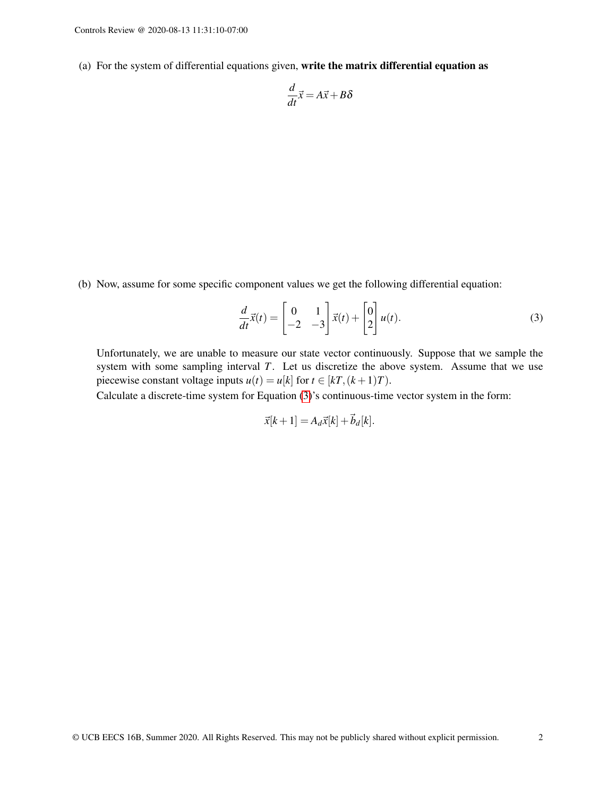(a) For the system of differential equations given, write the matrix differential equation as

$$
\frac{d}{dt}\vec{x} = A\vec{x} + B\delta
$$

(b) Now, assume for some specific component values we get the following differential equation:

$$
\frac{d}{dt}\vec{x}(t) = \begin{bmatrix} 0 & 1 \\ -2 & -3 \end{bmatrix} \vec{x}(t) + \begin{bmatrix} 0 \\ 2 \end{bmatrix} u(t).
$$
\n(3)

Unfortunately, we are unable to measure our state vector continuously. Suppose that we sample the system with some sampling interval *T*. Let us discretize the above system. Assume that we use piecewise constant voltage inputs  $u(t) = u[k]$  for  $t \in [k]$ ,  $(k+1)T$ .

Calculate a discrete-time system for Equation [\(3\)](#page-1-0)'s continuous-time vector system in the form:

<span id="page-1-0"></span>
$$
\vec{x}[k+1] = A_d \vec{x}[k] + \vec{b}_d[k].
$$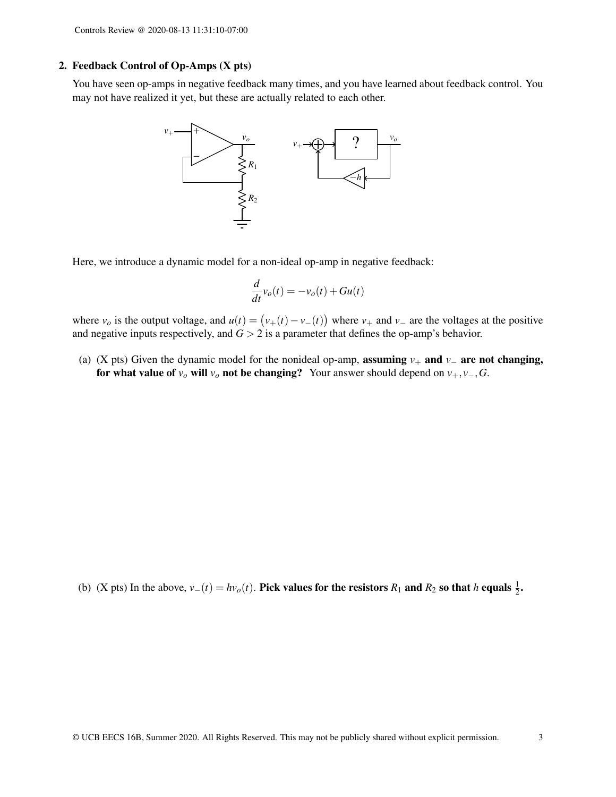### 2. Feedback Control of Op-Amps (X pts)

You have seen op-amps in negative feedback many times, and you have learned about feedback control. You may not have realized it yet, but these are actually related to each other.



Here, we introduce a dynamic model for a non-ideal op-amp in negative feedback:

$$
\frac{d}{dt}v_o(t) = -v_o(t) + Gu(t)
$$

where  $v_o$  is the output voltage, and  $u(t) = (v_+(t) - v_-(t))$  where  $v_+$  and  $v_-$  are the voltages at the positive and negative inputs respectively, and  $G > 2$  is a parameter that defines the op-amp's behavior.

(a) (X pts) Given the dynamic model for the nonideal op-amp, assuming *v*<sup>+</sup> and *v*<sup>−</sup> are not changing, for what value of  $v$ <sup>*o*</sup> will  $v$ <sup>*o*</sup> not be changing? Your answer should depend on  $v_+, v_-, G$ .

(b) (X pts) In the above,  $v_-(t) = hv_o(t)$ . Pick values for the resistors  $R_1$  and  $R_2$  so that *h* equals  $\frac{1}{2}$ .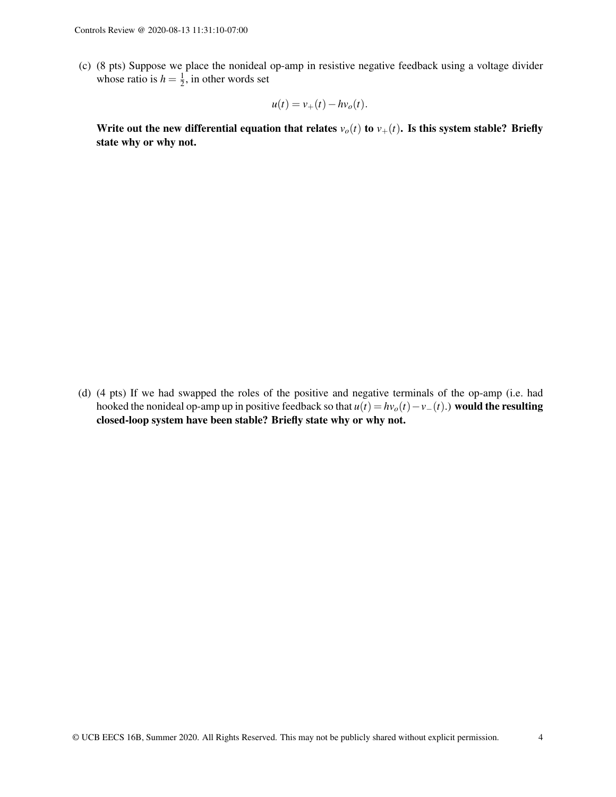(c) (8 pts) Suppose we place the nonideal op-amp in resistive negative feedback using a voltage divider whose ratio is  $h = \frac{1}{2}$  $\frac{1}{2}$ , in other words set

$$
u(t) = v_+(t) - hv_o(t).
$$

Write out the new differential equation that relates  $v_o(t)$  to  $v_+(t)$ . Is this system stable? Briefly state why or why not.

(d) (4 pts) If we had swapped the roles of the positive and negative terminals of the op-amp (i.e. had hooked the nonideal op-amp up in positive feedback so that  $u(t) = hv_o(t) - v_-(t)$ .) would the resulting closed-loop system have been stable? Briefly state why or why not.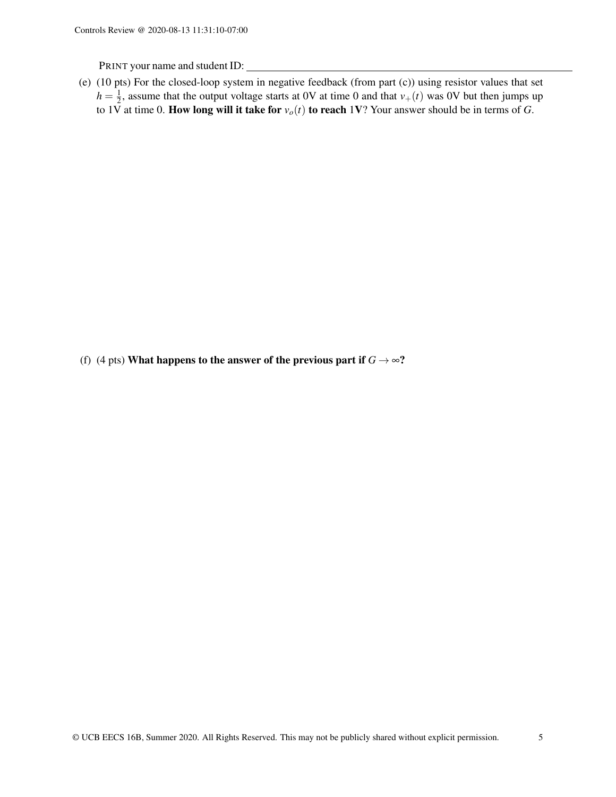PRINT your name and student ID:

(e) (10 pts) For the closed-loop system in negative feedback (from part (c)) using resistor values that set  $h = \frac{1}{2}$ , assume that the output voltage starts at 0V at time 0 and that  $v_{+}(t)$  was 0V but then jumps up to 1V at time 0. **How long will it take for**  $v_o(t)$  to reach 1V? Your answer should be in terms of *G*.

(f) (4 pts) What happens to the answer of the previous part if  $G \rightarrow \infty$ ?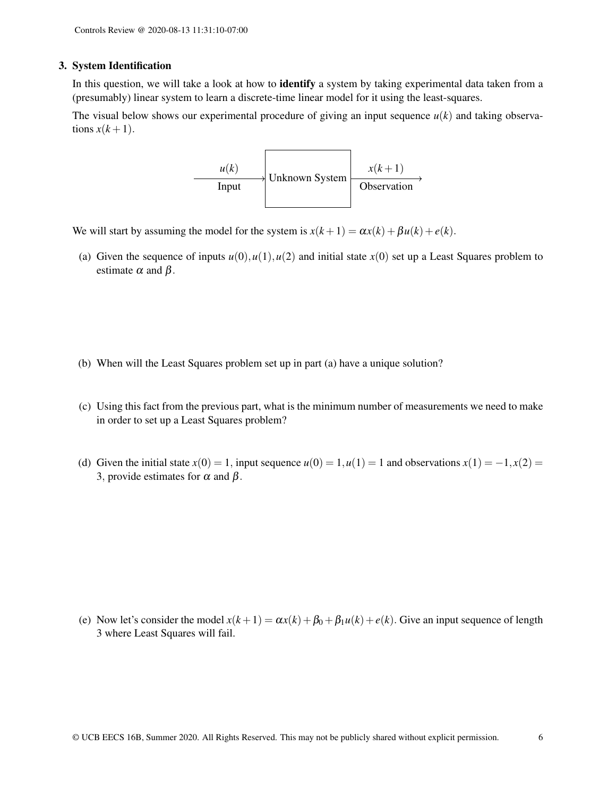#### 3. System Identification

In this question, we will take a look at how to identify a system by taking experimental data taken from a (presumably) linear system to learn a discrete-time linear model for it using the least-squares.

The visual below shows our experimental procedure of giving an input sequence  $u(k)$  and taking observations  $x(k+1)$ .



We will start by assuming the model for the system is  $x(k+1) = \alpha x(k) + \beta u(k) + e(k)$ .

(a) Given the sequence of inputs  $u(0), u(1), u(2)$  and initial state  $x(0)$  set up a Least Squares problem to estimate  $\alpha$  and  $\beta$ .

- (b) When will the Least Squares problem set up in part (a) have a unique solution?
- (c) Using this fact from the previous part, what is the minimum number of measurements we need to make in order to set up a Least Squares problem?
- (d) Given the initial state  $x(0) = 1$ , input sequence  $u(0) = 1$ ,  $u(1) = 1$  and observations  $x(1) = -1$ ,  $x(2) = 1$ 3, provide estimates for  $\alpha$  and  $\beta$ .

(e) Now let's consider the model  $x(k+1) = \alpha x(k) + \beta_0 + \beta_1 u(k) + e(k)$ . Give an input sequence of length 3 where Least Squares will fail.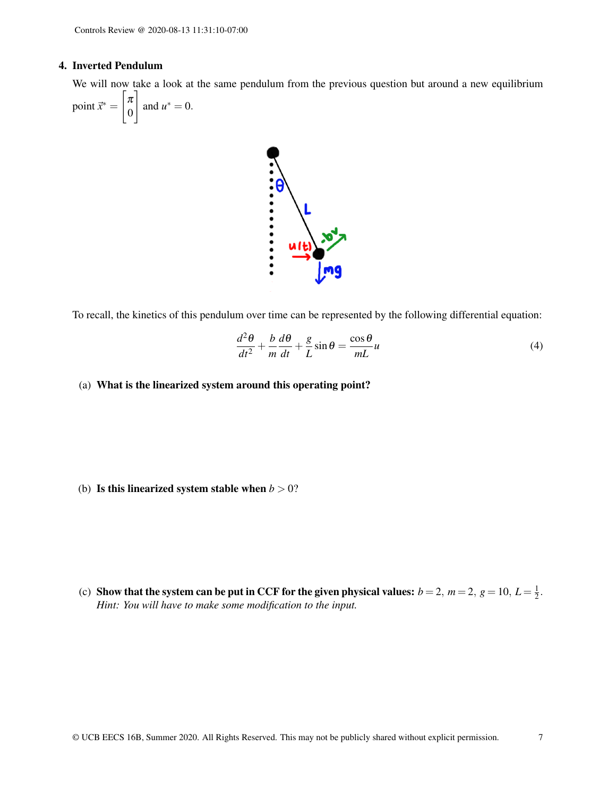#### 4. Inverted Pendulum

We will now take a look at the same pendulum from the previous question but around a new equilibrium

point 
$$
\vec{x}^* = \begin{bmatrix} \pi \\ 0 \end{bmatrix}
$$
 and  $u^* = 0$ .



To recall, the kinetics of this pendulum over time can be represented by the following differential equation:

$$
\frac{d^2\theta}{dt^2} + \frac{b}{m}\frac{d\theta}{dt} + \frac{g}{L}\sin\theta = \frac{\cos\theta}{mL}u\tag{4}
$$

(a) What is the linearized system around this operating point?

(b) Is this linearized system stable when  $b > 0$ ?

(c) Show that the system can be put in CCF for the given physical values:  $b = 2$ ,  $m = 2$ ,  $g = 10$ ,  $L = \frac{1}{2}$  $rac{1}{2}$ . *Hint: You will have to make some modification to the input.*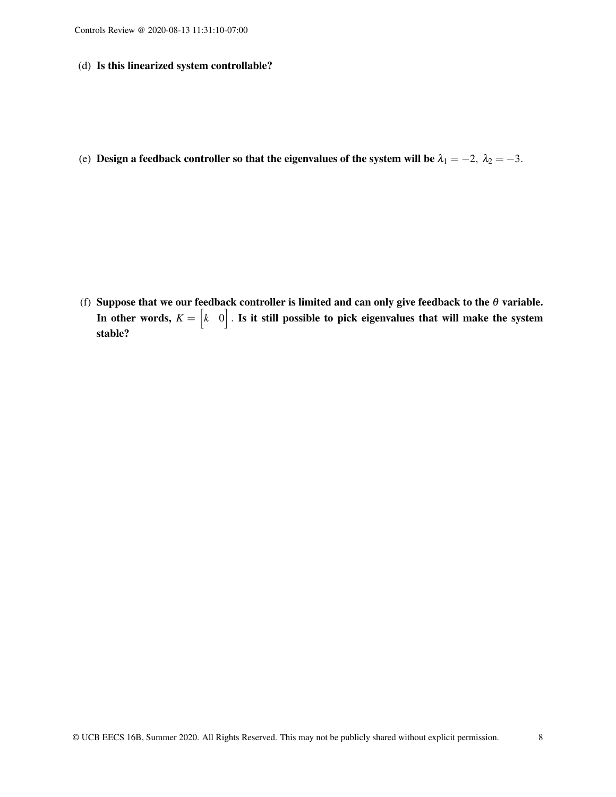(d) Is this linearized system controllable?

(e) Design a feedback controller so that the eigenvalues of the system will be  $\lambda_1 = -2$ ,  $\lambda_2 = -3$ .

(f) Suppose that we our feedback controller is limited and can only give feedback to the  $\theta$  variable. In other words,  $K = \begin{bmatrix} k & 0 \end{bmatrix}$  . Is it still possible to pick eigenvalues that will make the system stable?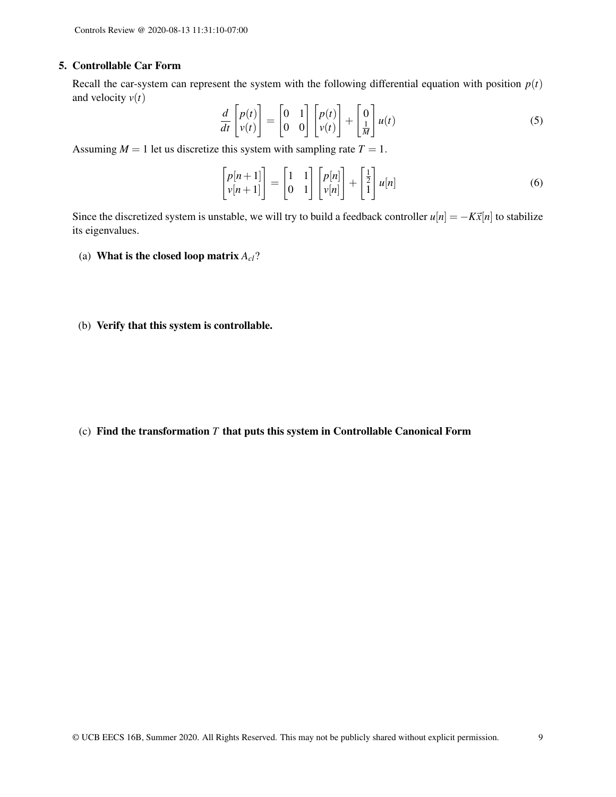#### 5. Controllable Car Form

Recall the car-system can represent the system with the following differential equation with position  $p(t)$ and velocity  $v(t)$ 

$$
\frac{d}{dt}\begin{bmatrix}p(t)\\v(t)\end{bmatrix} = \begin{bmatrix}0 & 1\\0 & 0\end{bmatrix}\begin{bmatrix}p(t)\\v(t)\end{bmatrix} + \begin{bmatrix}0\\ \frac{1}{M}\end{bmatrix}u(t)
$$
\n(5)

Assuming  $M = 1$  let us discretize this system with sampling rate  $T = 1$ .

$$
\begin{bmatrix} p[n+1] \\ v[n+1] \end{bmatrix} = \begin{bmatrix} 1 & 1 \\ 0 & 1 \end{bmatrix} \begin{bmatrix} p[n] \\ v[n] \end{bmatrix} + \begin{bmatrix} \frac{1}{2} \\ 1 \end{bmatrix} u[n] \tag{6}
$$

Since the discretized system is unstable, we will try to build a feedback controller  $u[n] = -K\bar{x}[n]$  to stabilize its eigenvalues.

- (a) What is the closed loop matrix *Acl*?
- (b) Verify that this system is controllable.

(c) Find the transformation *T* that puts this system in Controllable Canonical Form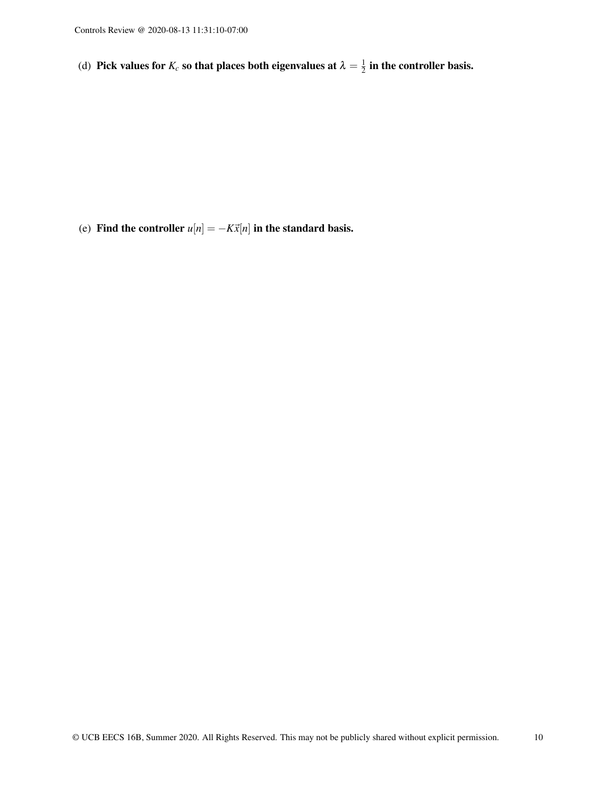(d) Pick values for  $K_c$  so that places both eigenvalues at  $\lambda = \frac{1}{2}$  $\frac{1}{2}$  in the controller basis.

(e) Find the controller  $u[n] = -K\vec{x}[n]$  in the standard basis.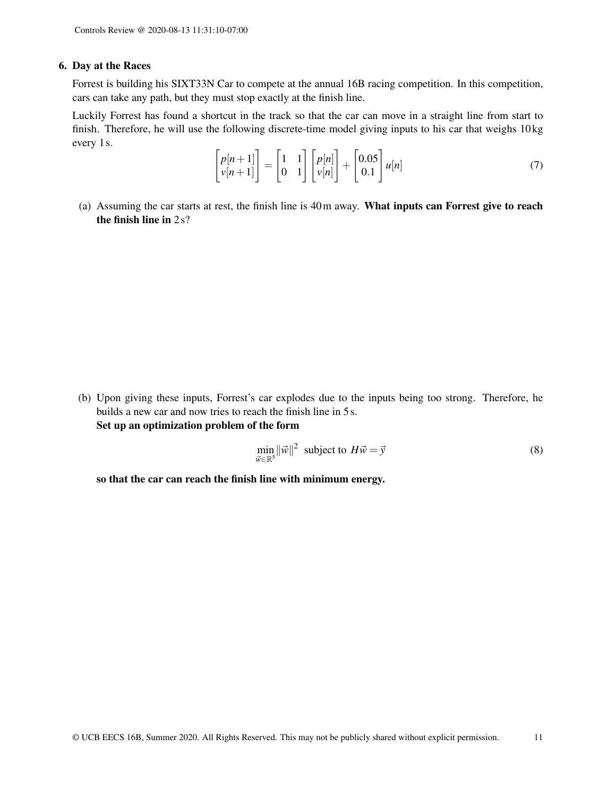#### 6. Day at the Races

Forrest is building his SIXT33N Car to compete at the annual 16B racing competition. In this competition, cars can take any path, but they must stop exactly at the finish line.

Luckily Forrest has found a shortcut in the track so that the car can move in a straight line from start to finish. Therefore, he will use the following discrete-time model giving inputs to his car that weighs 10 kg every 1 s.

$$
\begin{bmatrix} p[n+1] \\ v[n+1] \end{bmatrix} = \begin{bmatrix} 1 & 1 \\ 0 & 1 \end{bmatrix} \begin{bmatrix} p[n] \\ v[n] \end{bmatrix} + \begin{bmatrix} 0.05 \\ 0.1 \end{bmatrix} u[n] \tag{7}
$$

(a) Assuming the car starts at rest, the finish line is 40m away. What inputs can Forrest give to reach the finish line in 2 s?

(b) Upon giving these inputs, Forrest's car explodes due to the inputs being too strong. Therefore, he builds a new car and now tries to reach the finish line in 5 s. Set up an optimization problem of the form

$$
\min_{\vec{w} \in \mathbb{R}^5} ||\vec{w}||^2 \text{ subject to } H\vec{w} = \vec{y}
$$
\n(8)

so that the car can reach the finish line with minimum energy.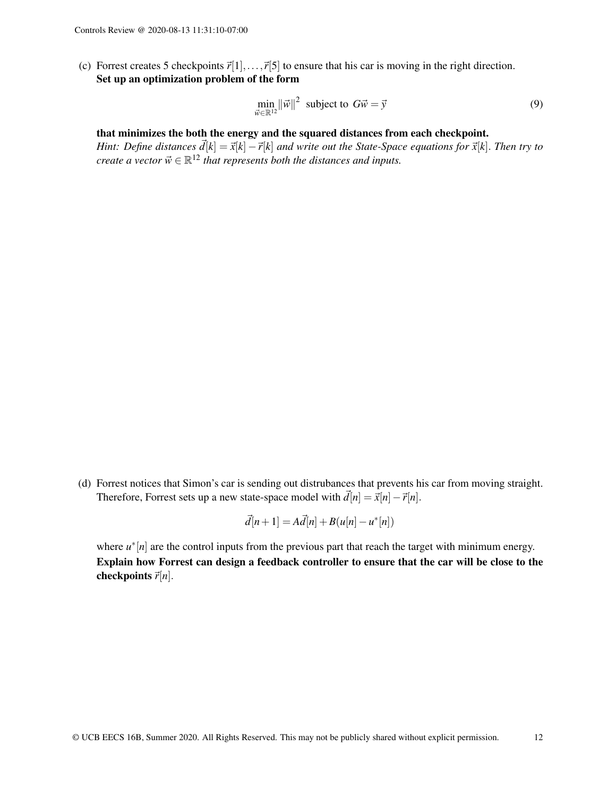(c) Forrest creates 5 checkpoints  $\vec{r}[1],...,\vec{r}[5]$  to ensure that his car is moving in the right direction. Set up an optimization problem of the form

$$
\min_{\vec{w}\in\mathbb{R}^{12}} \|\vec{w}\|^2 \text{ subject to } G\vec{w} = \vec{y}
$$
\n(9)

#### that minimizes the both the energy and the squared distances from each checkpoint.

*Hint: Define distances*  $\vec{d}[k] = \vec{x}[k] - \vec{r}[k]$  *and write out the State-Space equations for*  $\vec{x}[k]$ . *Then try to create a vector*  $\vec{w} \in \mathbb{R}^{12}$  *that represents both the distances and inputs.* 

(d) Forrest notices that Simon's car is sending out distrubances that prevents his car from moving straight. Therefore, Forrest sets up a new state-space model with  $\vec{d}[n] = \vec{x}[n] - \vec{r}[n]$ .

$$
\vec{d}[n+1] = A\vec{d}[n] + B(u[n] - u^*[n])
$$

where  $u^*[n]$  are the control inputs from the previous part that reach the target with minimum energy. Explain how Forrest can design a feedback controller to ensure that the car will be close to the checkpoints  $\vec{r}[n]$ .